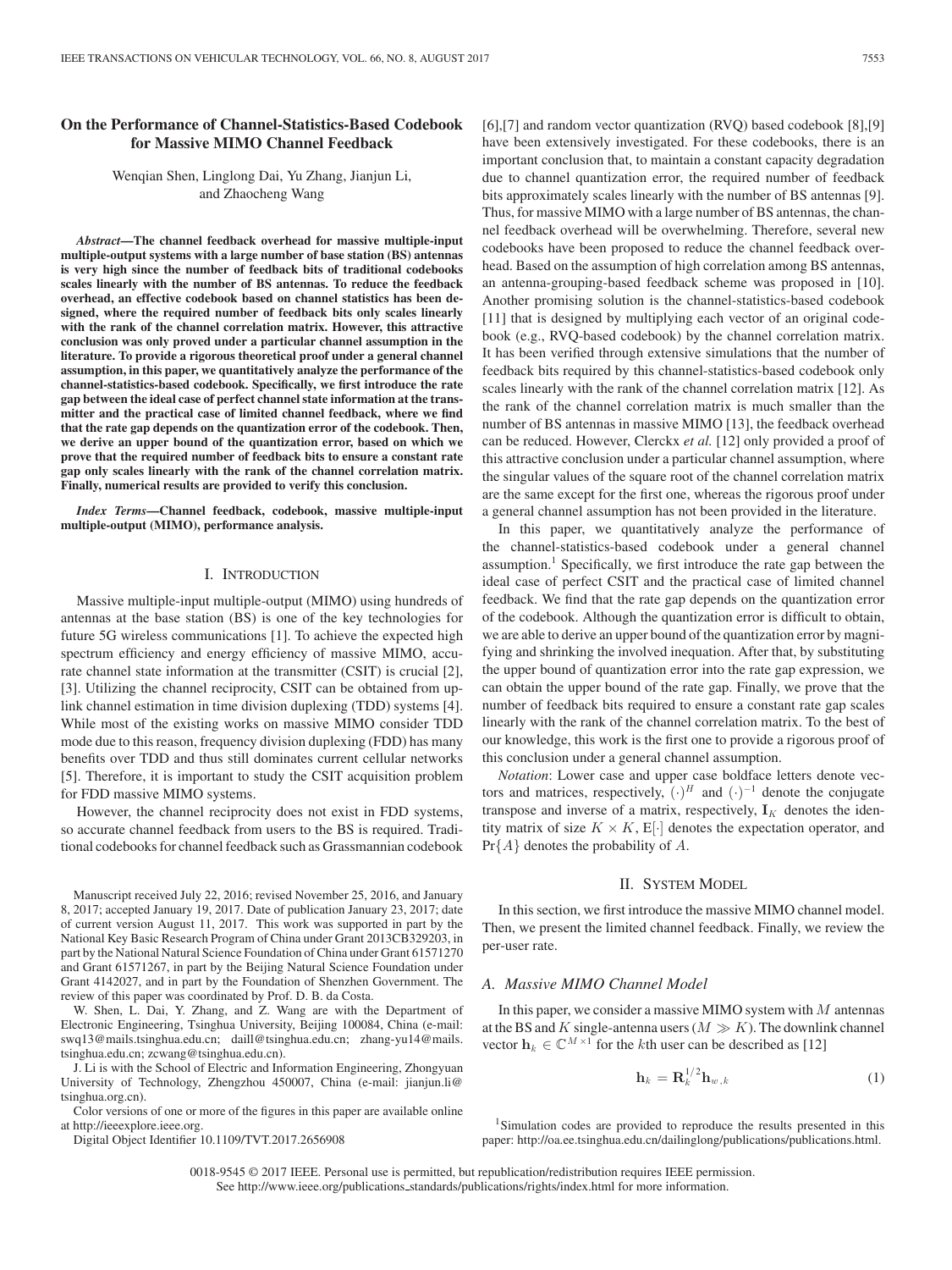# **On the Performance of Channel-Statistics-Based Codebook for Massive MIMO Channel Feedback**

Wenqian Shen, Linglong Dai, Yu Zhang, Jianjun Li, and Zhaocheng Wang

*Abstract***—The channel feedback overhead for massive multiple-input multiple-output systems with a large number of base station (BS) antennas is very high since the number of feedback bits of traditional codebooks scales linearly with the number of BS antennas. To reduce the feedback overhead, an effective codebook based on channel statistics has been designed, where the required number of feedback bits only scales linearly with the rank of the channel correlation matrix. However, this attractive conclusion was only proved under a particular channel assumption in the literature. To provide a rigorous theoretical proof under a general channel assumption, in this paper, we quantitatively analyze the performance of the channel-statistics-based codebook. Specifically, we first introduce the rate gap between the ideal case of perfect channel state information at the transmitter and the practical case of limited channel feedback, where we find that the rate gap depends on the quantization error of the codebook. Then, we derive an upper bound of the quantization error, based on which we prove that the required number of feedback bits to ensure a constant rate gap only scales linearly with the rank of the channel correlation matrix. Finally, numerical results are provided to verify this conclusion.**

*Index Terms***—Channel feedback, codebook, massive multiple-input multiple-output (MIMO), performance analysis.**

#### I. INTRODUCTION

Massive multiple-input multiple-output (MIMO) using hundreds of antennas at the base station (BS) is one of the key technologies for future 5G wireless communications [1]. To achieve the expected high spectrum efficiency and energy efficiency of massive MIMO, accurate channel state information at the transmitter (CSIT) is crucial [2], [3]. Utilizing the channel reciprocity, CSIT can be obtained from uplink channel estimation in time division duplexing (TDD) systems [4]. While most of the existing works on massive MIMO consider TDD mode due to this reason, frequency division duplexing (FDD) has many benefits over TDD and thus still dominates current cellular networks [5]. Therefore, it is important to study the CSIT acquisition problem for FDD massive MIMO systems.

However, the channel reciprocity does not exist in FDD systems, so accurate channel feedback from users to the BS is required. Traditional codebooks for channel feedback such as Grassmannian codebook

Manuscript received July 22, 2016; revised November 25, 2016, and January 8, 2017; accepted January 19, 2017. Date of publication January 23, 2017; date of current version August 11, 2017. This work was supported in part by the National Key Basic Research Program of China under Grant 2013CB329203, in part by the National Natural Science Foundation of China under Grant 61571270 and Grant 61571267, in part by the Beijing Natural Science Foundation under Grant 4142027, and in part by the Foundation of Shenzhen Government. The review of this paper was coordinated by Prof. D. B. da Costa.

W. Shen, L. Dai, Y. Zhang, and Z. Wang are with the Department of Electronic Engineering, Tsinghua University, Beijing 100084, China (e-mail: swq13@mails.tsinghua.edu.cn; daill@tsinghua.edu.cn; zhang-yu14@mails. tsinghua.edu.cn; zcwang@tsinghua.edu.cn).

J. Li is with the School of Electric and Information Engineering, Zhongyuan University of Technology, Zhengzhou 450007, China (e-mail: jianjun.li@ tsinghua.org.cn).

Color versions of one or more of the figures in this paper are available online at http://ieeexplore.ieee.org.

Digital Object Identifier 10.1109/TVT.2017.2656908

[6],[7] and random vector quantization (RVQ) based codebook [8],[9] have been extensively investigated. For these codebooks, there is an important conclusion that, to maintain a constant capacity degradation due to channel quantization error, the required number of feedback bits approximately scales linearly with the number of BS antennas [9]. Thus, for massive MIMO with a large number of BS antennas, the channel feedback overhead will be overwhelming. Therefore, several new codebooks have been proposed to reduce the channel feedback overhead. Based on the assumption of high correlation among BS antennas, an antenna-grouping-based feedback scheme was proposed in [10]. Another promising solution is the channel-statistics-based codebook [11] that is designed by multiplying each vector of an original codebook (e.g., RVQ-based codebook) by the channel correlation matrix. It has been verified through extensive simulations that the number of feedback bits required by this channel-statistics-based codebook only scales linearly with the rank of the channel correlation matrix [12]. As the rank of the channel correlation matrix is much smaller than the number of BS antennas in massive MIMO [13], the feedback overhead can be reduced. However, Clerckx *et al.* [12] only provided a proof of this attractive conclusion under a particular channel assumption, where the singular values of the square root of the channel correlation matrix are the same except for the first one, whereas the rigorous proof under a general channel assumption has not been provided in the literature.

In this paper, we quantitatively analyze the performance of the channel-statistics-based codebook under a general channel assumption.1 Specifically, we first introduce the rate gap between the ideal case of perfect CSIT and the practical case of limited channel feedback. We find that the rate gap depends on the quantization error of the codebook. Although the quantization error is difficult to obtain, we are able to derive an upper bound of the quantization error by magnifying and shrinking the involved inequation. After that, by substituting the upper bound of quantization error into the rate gap expression, we can obtain the upper bound of the rate gap. Finally, we prove that the number of feedback bits required to ensure a constant rate gap scales linearly with the rank of the channel correlation matrix. To the best of our knowledge, this work is the first one to provide a rigorous proof of this conclusion under a general channel assumption.

*Notation*: Lower case and upper case boldface letters denote vectors and matrices, respectively,  $(\cdot)^H$  and  $(\cdot)^{-1}$  denote the conjugate transpose and inverse of a matrix, respectively,  $\mathbf{I}_K$  denotes the identity matrix of size  $K \times K$ , E[ $\cdot$ ] denotes the expectation operator, and  $Pr{A}$  denotes the probability of A.

#### II. SYSTEM MODEL

In this section, we first introduce the massive MIMO channel model. Then, we present the limited channel feedback. Finally, we review the per-user rate.

#### *A. Massive MIMO Channel Model*

In this paper, we consider a massive MIMO system with  $M$  antennas at the BS and K single-antenna users ( $M \gg K$ ). The downlink channel vector  $\mathbf{h}_k \in \mathbb{C}^{M \times 1}$  for the kth user can be described as [12]

$$
\mathbf{h}_k = \mathbf{R}_k^{1/2} \mathbf{h}_{w,k} \tag{1}
$$

<sup>1</sup>Simulation codes are provided to reproduce the results presented in this paper: http://oa.ee.tsinghua.edu.cn/dailinglong/publications/publications.html.

0018-9545 © 2017 IEEE. Personal use is permitted, but republication/redistribution requires IEEE permission. See http://www.ieee.org/publications.standards/publications/rights/index.html for more information.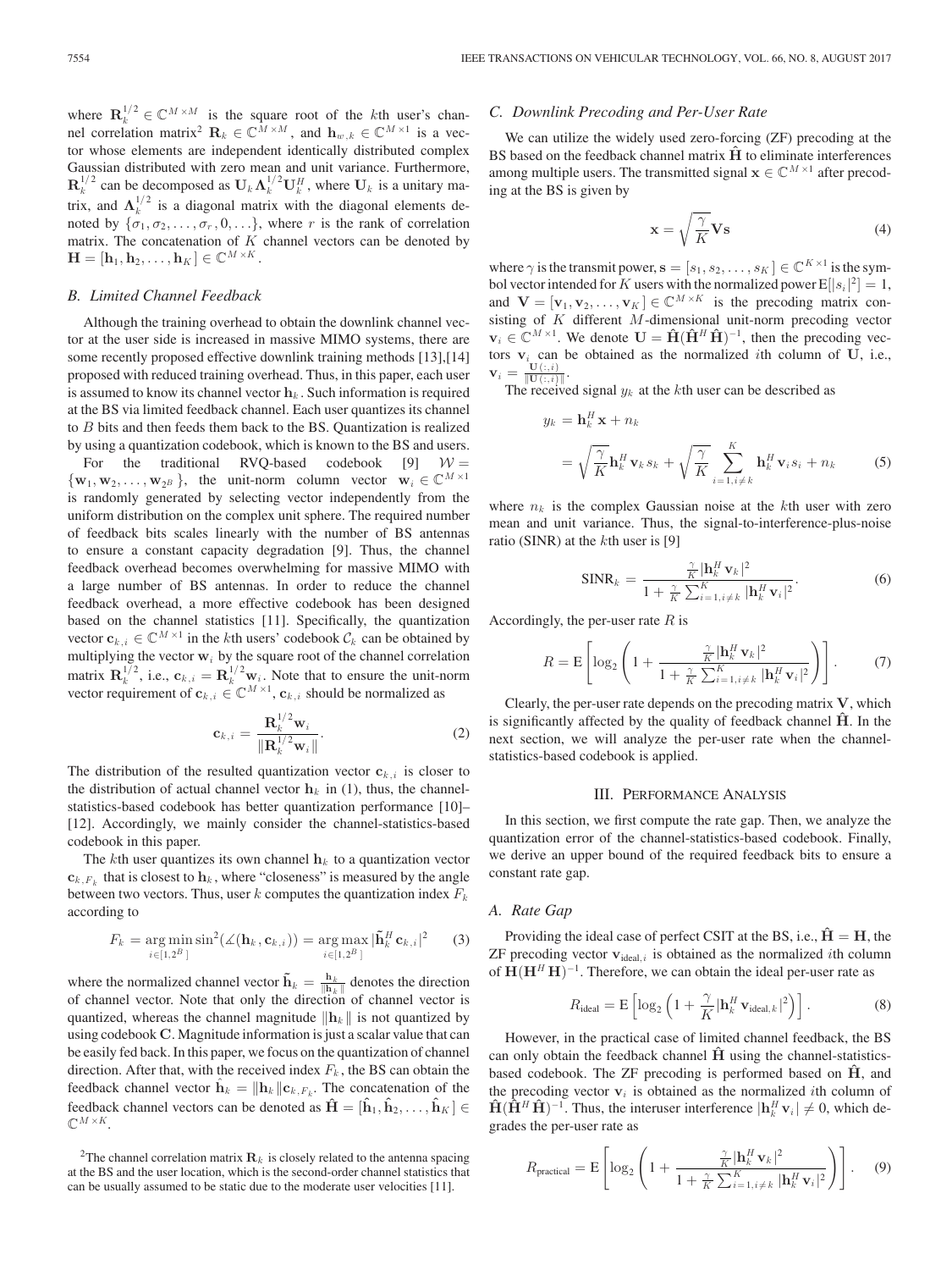where  $\mathbf{R}_{k}^{1/2} \in \mathbb{C}^{M \times M}$  is the square root of the kth user's chan-<br>nel correlation matrix<sup>2</sup>  $\mathbf{R}_{k} \in \mathbb{C}^{M \times M}$  and  $\mathbf{h}_{k} \in \mathbb{C}^{M \times 1}$  is a vecnel correlation matrix<sup>2</sup>  $\mathbf{R}_k \in \mathbb{C}^{M \times M}$ , and  $\mathbf{h}_{w,k} \in \mathbb{C}^{M \times 1}$  is a vec-<br>tor whose elements are independent identically distributed complex tor whose elements are independent identically distributed complex Gaussian distributed with zero mean and unit variance. Furthermore,  $\mathbf{R}_k^{1/2}$  can be decomposed as  $\mathbf{U}_k \mathbf{\Lambda}_k^{1/2} \mathbf{U}_k^H$ , where  $\mathbf{U}_k$  is a unitary matrix, and  $\Lambda_k^{1/2}$  is a diagonal matrix with the diagonal elements de-<br>noted by  $\{x, \sigma_k, \sigma_k\}$  where r is the rank of correlation noted by  $\{\sigma_1, \sigma_2, \ldots, \sigma_r, 0, \ldots\}$ , where r is the rank of correlation matrix. The concatenation of  $K$  channel vectors can be denoted by  $\mathbf{H} = [\mathbf{h}_1, \mathbf{h}_2, \dots, \mathbf{h}_K] \in \mathbb{C}^{M \times K}$ .

## *B. Limited Channel Feedback*

Although the training overhead to obtain the downlink channel vector at the user side is increased in massive MIMO systems, there are some recently proposed effective downlink training methods [13],[14] proposed with reduced training overhead. Thus, in this paper, each user is assumed to know its channel vector  $\mathbf{h}_k$ . Such information is required at the BS via limited feedback channel. Each user quantizes its channel to B bits and then feeds them back to the BS. Quantization is realized by using a quantization codebook, which is known to the BS and users.

For the traditional RVQ-based codebook [9]  $W =$ <br>  $\{w_1, w_2, \ldots, w_{2^B}\}\,$ , the unit-norm column vector  $w_i \in \mathbb{C}^{M \times 1}$ is randomly generated by selecting vector independently from the uniform distribution on the complex unit sphere. The required number of feedback bits scales linearly with the number of BS antennas to ensure a constant capacity degradation [9]. Thus, the channel feedback overhead becomes overwhelming for massive MIMO with a large number of BS antennas. In order to reduce the channel feedback overhead, a more effective codebook has been designed based on the channel statistics [11]. Specifically, the quantization vector  $c_{k,i} \in \mathbb{C}^{M \times 1}$  in the *k*th users' codebook  $\mathcal{C}_k$  can be obtained by multiplying the vector  $w_i$  by the square root of the channel correlation matrix  $\mathbf{R}_k^{1/2}$ , i.e.,  $\mathbf{c}_{k,i} = \mathbf{R}_k^{1/2} \mathbf{w}_i$ . Note that to ensure the unit-norm vector requirement of  $\mathbf{c}_{k,i} \in \mathbb{C}^{M \times 1}$ ,  $\mathbf{c}_{k,i}$  should be normalized as

$$
\mathbf{c}_{k,i} = \frac{\mathbf{R}_k^{1/2} \mathbf{w}_i}{\|\mathbf{R}_k^{1/2} \mathbf{w}_i\|}.
$$
 (2)

The distribution of the resulted quantization vector  $\mathbf{c}_{k,i}$  is closer to the distribution of actual channel vector **b**, in (1) thus the channel. the distribution of actual channel vector  $\mathbf{h}_k$  in (1), thus, the channelstatistics-based codebook has better quantization performance [10]– [12]. Accordingly, we mainly consider the channel-statistics-based codebook in this paper.

The kth user quantizes its own channel  $h_k$  to a quantization vector  $c_{k,F_k}$  that is closest to  $h_k$ , where "closeness" is measured by the angle between two vectors. Thus, user  $k$  computes the quantization index  $F_k$ according to

$$
F_k = \underset{i \in [1,2^B]}{\arg \min} \sin^2(\measuredangle(\mathbf{h}_k, \mathbf{c}_{k,i})) = \underset{i \in [1,2^B]}{\arg \max} |\tilde{\mathbf{h}}_k^H \mathbf{c}_{k,i}|^2 \qquad (3)
$$

where the normalized channel vector  $\mathbf{h}_k = \frac{\mathbf{h}_k}{\|\mathbf{h}_k\|}$  denotes the direction of channel vector. Note that only the direction of channel vector is quantized, whereas the channel magnitude  $\|\mathbf{h}_k\|$  is not quantized by using codebook **C**. Magnitude information is just a scalar value that can be easily fed back. In this paper, we focus on the quantization of channel direction. After that, with the received index  $F_k$ , the BS can obtain the feedback channel vector  $\mathbf{h}_k = ||\mathbf{h}_k||\mathbf{c}_{k,F_k}$ . The concatenation of the feedback channel vectors can be denoted as  $\mathbf{\hat{H}} = [\mathbf{\hat{h}}_1, \mathbf{\hat{h}}_2, \dots, \mathbf{\hat{h}}_K] \in$  $\mathbb{C}^{M \times K}$ .

# *C. Downlink Precoding and Per-User Rate*

We can utilize the widely used zero-forcing (ZF) precoding at the BS based on the feedback channel matrix  $\hat{H}$  to eliminate interferences among multiple users. The transmitted signal  $\mathbf{x} \in \mathbb{C}^{M \times 1}$  after precoding at the BS is given by

$$
\mathbf{x} = \sqrt{\frac{\gamma}{K}} \mathbf{V} \mathbf{s}
$$
 (4)

where  $\gamma$  is the transmit power,  $\mathbf{s} = [s_1, s_2, \dots, s_K] \in \mathbb{C}^{K \times 1}$  is the symbol vector intended for K users with the normalized power  $E[|s_i|^2] = 1$ ,<br>and  $\mathbf{V} = [\mathbf{v}_k, \mathbf{v}_k] \in \mathbb{C}^{M \times K}$  is the precoding matrix conand  $\mathbf{V} = [\mathbf{v}_1, \mathbf{v}_2, \dots, \mathbf{v}_K] \in \mathbb{C}^{M \times K}$  is the precoding matrix consisting of K different M-dimensional unit-norm precoding vector  $\mathbf{v}_i \in \mathbb{C}^{M \times 1}$ . We denote  $\mathbf{U} = \hat{\mathbf{H}} (\hat{\mathbf{H}}^H \hat{\mathbf{H}})^{-1}$ , then the precoding vectors  $\mathbf{v}_i$  can be obtained as the normalized *i*th column of **U**, i.e.,  $\mathbf{v}_i = \frac{\mathbf{U}(:,i)}{n}$ .  $\mathbf{v}_i = \frac{\mathbf{U}(:,i)}{\|\mathbf{U}(:,i)\|}.$ <br>The receive

The received signal  $y_k$  at the kth user can be described as

$$
y_k = \mathbf{h}_k^H \mathbf{x} + n_k
$$
  
=  $\sqrt{\frac{\gamma}{K}} \mathbf{h}_k^H \mathbf{v}_k s_k + \sqrt{\frac{\gamma}{K}} \sum_{i=1, i \neq k}^K \mathbf{h}_k^H \mathbf{v}_i s_i + n_k$  (5)

where  $n_k$  is the complex Gaussian noise at the kth user with zero mean and unit variance. Thus, the signal-to-interference-plus-noise ratio (SINR) at the  $k$ th user is [9]

$$
\text{SINR}_k = \frac{\frac{\gamma}{K} |\mathbf{h}_k^H \mathbf{v}_k|^2}{1 + \frac{\gamma}{K} \sum_{i=1, i \neq k}^K |\mathbf{h}_k^H \mathbf{v}_i|^2}.
$$
 (6)

Accordingly, the per-user rate  $R$  is

$$
R = \mathbf{E} \left[ \log_2 \left( 1 + \frac{\frac{\gamma}{K} |\mathbf{h}_k^H \mathbf{v}_k|^2}{1 + \frac{\gamma}{K} \sum_{i=1, i \neq k}^K |\mathbf{h}_k^H \mathbf{v}_i|^2} \right) \right].
$$
 (7)

Clearly, the per-user rate depends on the precoding matrix **V**, which is significantly affected by the quality of feedback channel  $\hat{H}$ . In the next section, we will analyze the per-user rate when the channelstatistics-based codebook is applied.

#### III. PERFORMANCE ANALYSIS

In this section, we first compute the rate gap. Then, we analyze the quantization error of the channel-statistics-based codebook. Finally, we derive an upper bound of the required feedback bits to ensure a constant rate gap.

#### *A. Rate Gap*

Providing the ideal case of perfect CSIT at the BS, i.e.,  $\hat{H} = H$ , the  $ZF$  precoding vector  $v_{ideal,i}$  is obtained as the normalized *i*th column of  $\mathbf{H}(\mathbf{H}^H\mathbf{H})^{-1}$ . Therefore, we can obtain the ideal per-user rate as

$$
R_{\text{ideal}} = \mathbf{E} \left[ \log_2 \left( 1 + \frac{\gamma}{K} |\mathbf{h}_k^H \mathbf{v}_{\text{ideal},k}|^2 \right) \right]. \tag{8}
$$

However, in the practical case of limited channel feedback, the BS can only obtain the feedback channel  $\hat{H}$  using the channel-statisticsbased codebook. The ZF precoding is performed based on **Hˆ** , and the precoding vector  $v_i$  is obtained as the normalized *i*th column of  $\mathbf{H}(\hat{\mathbf{H}}^H \hat{\mathbf{H}})^{-1}$ . Thus, the interuser interference  $|\mathbf{h}_k^H \mathbf{v}_i| \neq 0$ , which degrades the per-user rate as

$$
R_{\text{practical}} = \mathbf{E} \left[ \log_2 \left( 1 + \frac{\frac{\gamma}{K} |\mathbf{h}_k^H \mathbf{v}_k|^2}{1 + \frac{\gamma}{K} \sum_{i=1, i \neq k}^K |\mathbf{h}_k^H \mathbf{v}_i|^2} \right) \right].
$$
 (9)

<sup>&</sup>lt;sup>2</sup>The channel correlation matrix  $\mathbf{R}_k$  is closely related to the antenna spacing at the BS and the user location, which is the second-order channel statistics that can be usually assumed to be static due to the moderate user velocities [11].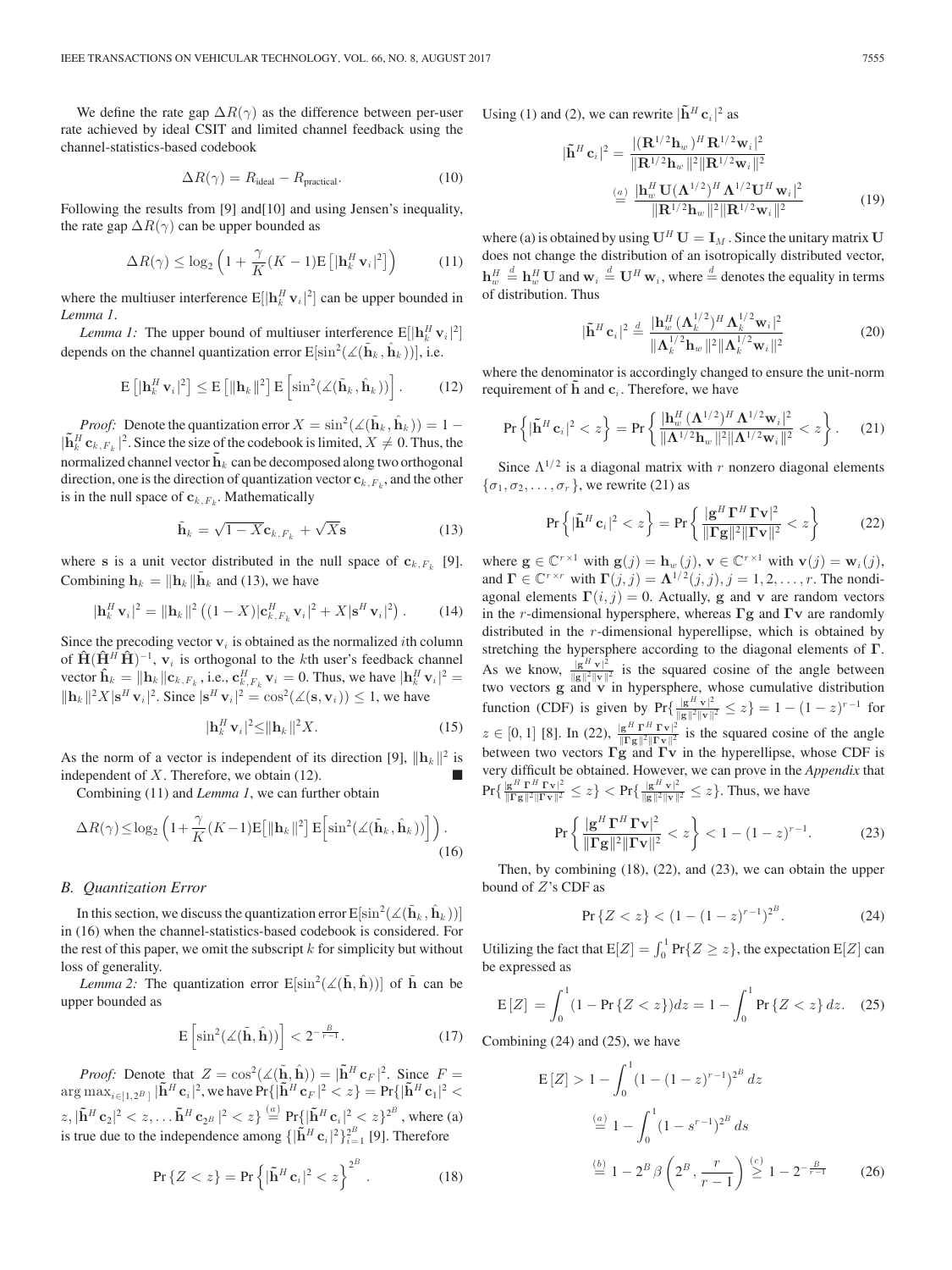We define the rate gap  $\Delta R(\gamma)$  as the difference between per-user rate achieved by ideal CSIT and limited channel feedback using the channel-statistics-based codebook

$$
\Delta R(\gamma) = R_{\text{ideal}} - R_{\text{practical}}.\tag{10}
$$

Following the results from [9] and[10] and using Jensen's inequality, the rate gap  $\Delta R(\gamma)$  can be upper bounded as

$$
\Delta R(\gamma) \le \log_2 \left( 1 + \frac{\gamma}{K} (K - 1) \mathbb{E} \left[ |\mathbf{h}_k^H \mathbf{v}_i|^2 \right] \right) \tag{11}
$$

where the multiuser interference  $E[|\mathbf{h}_k^H \mathbf{v}_i|^2]$  can be upper bounded in Lemma 1 *Lemma 1*.

*Lemma 1:* The upper bound of multiuser interference  $E[|\mathbf{h}_h^H \mathbf{v}_i|^2]$ depends on the channel quantization error  $E[\sin^2(\angle(\tilde{\mathbf{h}}_k, \hat{\mathbf{h}}_k))]$ , i.e.

$$
\mathbb{E}\left[|\mathbf{h}_k^H \mathbf{v}_i|^2\right] \le \mathbb{E}\left[\|\mathbf{h}_k\|^2\right] \mathbb{E}\left[\sin^2(\angle(\tilde{\mathbf{h}}_k, \hat{\mathbf{h}}_k))\right].\tag{12}
$$

*Proof:* Denote the quantization error  $X = \sin^2(\angle(\tilde{\mathbf{h}}_k, \hat{\mathbf{h}}_k)) = 1 -$ <br>Let  $\mathbf{h}_k = |k|$  Since the size of the codebook is limited  $X \neq 0$ . Thus, the  $|\tilde{\mathbf{h}}_k^H \mathbf{c}_{k,F_k}|^2$ . Since the size of the codebook is limited,  $X \neq 0$ . Thus, the normalized channel vector  $\tilde{\mathbf{h}}_k$  can be decomposed along two orthogonal direction, one is the direction of quantization vector  $\mathbf{c}_{k,F_k}$ , and the other is in the null space of  $c_{k,F_k}$ . Mathematically

$$
\tilde{\mathbf{h}}_k = \sqrt{1 - X} \mathbf{c}_{k, F_k} + \sqrt{X} \mathbf{s}
$$
\n(13)

where **s** is a unit vector distributed in the null space of  $c_{k,F_k}$  [9]. Combining  $\mathbf{h}_k = ||\mathbf{h}_k|| \tilde{\mathbf{h}}_k$  and (13), we have

$$
|\mathbf{h}_k^H \mathbf{v}_i|^2 = ||\mathbf{h}_k||^2 \left( (1 - X) |\mathbf{c}_{k, F_k}^H \mathbf{v}_i|^2 + X |\mathbf{s}^H \mathbf{v}_i|^2 \right). \tag{14}
$$

Since the precoding vector  $v_i$  is obtained as the normalized *i*th column of  $\mathbf{\hat{H}}(\mathbf{\hat{H}}^H \mathbf{\hat{H}})^{-1}$ ,  $\mathbf{v}_i$  is orthogonal to the kth user's feedback channel vector  $\hat{\mathbf{h}}_k = ||\mathbf{h}_k||c_{k,F_k}$ , i.e.,  $\mathbf{c}_{k,F_k}^H \mathbf{v}_i = 0$ . Thus, we have  $|\mathbf{h}_k^H \mathbf{v}_i|^2 =$ <br>  $||\mathbf{h}_k||^2 \mathbf{V}||_2 H_{\infty}||^2$ . Since  $|\mathbf{d}_{k,E_k}^H|^2$ ,  $\cos^2(\sqrt{(2\pi k)}) \le 1$ , we have  $\|\mathbf{h}_k\|^2 X |\mathbf{s}^H \mathbf{v}_i|^2$ . Since  $|\mathbf{s}^H \mathbf{v}_i|^2 = \cos^2(\measuredangle(\mathbf{s}, \mathbf{v}_i)) \leq 1$ , we have

$$
|\mathbf{h}_k^H \mathbf{v}_i|^2 \le ||\mathbf{h}_k||^2 X. \tag{15}
$$

As the norm of a vector is independent of its direction [9],  $\|\mathbf{h}_k\|^2$  is independent of  $X$ . Therefore, we obtain (12).

Combining (11) and *Lemma 1*, we can further obtain

$$
\Delta R(\gamma) \le \log_2 \left( 1 + \frac{\gamma}{K} (K - 1) \mathbb{E} \left[ \|\mathbf{h}_k\|^2 \right] \mathbb{E} \left[ \sin^2(\measuredangle(\tilde{\mathbf{h}}_k, \hat{\mathbf{h}}_k)) \right] \right). \tag{16}
$$

### *B. Quantization Error*

In this section, we discuss the quantization error  $E[\sin^2(\angle(\hat{\mathbf{h}}_k, \hat{\mathbf{h}}_k))]$ <br>(16) when the channel statistics hased codebook is considered. For in (16) when the channel-statistics-based codebook is considered. For the rest of this paper, we omit the subscript  $k$  for simplicity but without loss of generality.

*Lemma 2:* The quantization error  $E[\sin^2(\angle(\tilde{h}, \hat{h}))]$  of  $\tilde{h}$  can be upper bounded as

$$
E\left[\sin^2(\measuredangle(\tilde{\mathbf{h}}, \hat{\mathbf{h}}))\right] < 2^{-\frac{B}{r-1}}.\tag{17}
$$

*Proof:* Denote that  $Z = \cos^2(\measuredangle(\mathbf{h}, \mathbf{h})) = |\mathbf{h}^H \mathbf{c}_F|^2$ . Since  $F = \cos^2(\measuredangle(\mathbf{h}, \mathbf{h})) = |\mathbf{h}^H \mathbf{c}_F|^2$ . Since  $F = \cos^2(\measuredangle(\mathbf{h}, \mathbf{h})) = |\mathbf{h}^H \mathbf{c}_F|^2$ .  $\arg \max_{i \in [1,2^B]} |\tilde{\mathbf{h}}^H \mathbf{c}_i|^2$ , we have  $\Pr\{|\tilde{\mathbf{h}}^H \mathbf{c}_F|^2 < z\} = \Pr\{|\tilde{\mathbf{h}}^H \mathbf{c}_1|^2 < z\}$  $|z| \leq |z|^2 \leq z, \ldots, \tilde{h}^H \mathbf{c}_2 B \mid 2 \leq z \} \stackrel{(a)}{=} \Pr\{|\tilde{h}^H \mathbf{c}_i|^2 \leq z\}^2$ , where (a)<br>is true due to the independence emerge  $\left(\|\tilde{h}^H \mathbf{c}_i\|^2\right)^2$ . [O] Therefore is true due to the independence among  $\{|\tilde{\mathbf{h}}^H \mathbf{c}_i|^2\}_{i=1}^{2^B}$  [9]. Therefore

$$
\Pr\left\{Z < z\right\} = \Pr\left\{ |\tilde{\mathbf{h}}^H \mathbf{c}_i|^2 < z \right\}^{2^B} . \tag{18}
$$

Using (1) and (2), we can rewrite  $|\tilde{\mathbf{h}}^H \mathbf{c}_i|^2$  as

$$
|\tilde{\mathbf{h}}^{H} \mathbf{c}_{i}|^{2} = \frac{|(\mathbf{R}^{1/2} \mathbf{h}_{w})^{H} \mathbf{R}^{1/2} \mathbf{w}_{i}|^{2}}{\|\mathbf{R}^{1/2} \mathbf{h}_{w}\|^{2} \|\mathbf{R}^{1/2} \mathbf{w}_{i}\|^{2}}
$$

$$
\stackrel{(a)}{=} \frac{|\mathbf{h}_{w}^{H} \mathbf{U}(\mathbf{\Lambda}^{1/2})^{H} \mathbf{\Lambda}^{1/2} \mathbf{U}^{H} \mathbf{w}_{i}|^{2}}{\|\mathbf{R}^{1/2} \mathbf{h}_{w}\|^{2} \|\mathbf{R}^{1/2} \mathbf{w}_{i}\|^{2}}
$$
(19)

where (a) is obtained by using  $U^H U = I_M$ . Since the unitary matrix U does not change the distribution of an isotropically distributed vector,  $\mathbf{h}_{w}^{H} \stackrel{d}{=} \mathbf{h}_{w}^{H} \mathbf{U}$  and  $\mathbf{w}_{i} \stackrel{d}{=} \mathbf{U}^{H} \mathbf{w}_{i}$ , where  $\stackrel{d}{=}$  denotes the equality in terms of distribution. Thus of distribution. Thus

$$
|\tilde{\mathbf{h}}^H \mathbf{c}_i|^2 \stackrel{d}{=} \frac{|\mathbf{h}_w^H (\boldsymbol{\Lambda}_k^{1/2})^H \boldsymbol{\Lambda}_k^{1/2} \mathbf{w}_i|^2}{\|\boldsymbol{\Lambda}_k^{1/2} \mathbf{h}_w\|^2 \|\boldsymbol{\Lambda}_k^{1/2} \mathbf{w}_i\|^2}
$$
(20)

where the denominator is accordingly changed to ensure the unit-norm requirement of  $\tilde{\mathbf{h}}$  and  $\mathbf{c}_i$ . Therefore, we have

$$
\Pr\left\{|\tilde{\mathbf{h}}^H \mathbf{c}_i|^2 < z\right\} = \Pr\left\{ \frac{|\mathbf{h}_w^H (\mathbf{\Lambda}^{1/2})^H \mathbf{\Lambda}^{1/2} \mathbf{w}_i|^2}{\|\mathbf{\Lambda}^{1/2} \mathbf{h}_w\|^2 \|\mathbf{\Lambda}^{1/2} \mathbf{w}_i\|^2} < z \right\}.
$$
 (21)

Since  $\Lambda^{1/2}$  is a diagonal matrix with r nonzero diagonal elements  $\{\sigma_1, \sigma_2, \ldots, \sigma_r\}$ , we rewrite (21) as

$$
\Pr\left\{ |\tilde{\mathbf{h}}^H \mathbf{c}_i|^2 < z \right\} = \Pr\left\{ \frac{|\mathbf{g}^H \mathbf{\Gamma}^H \mathbf{\Gamma} \mathbf{v}|^2}{\|\mathbf{\Gamma} \mathbf{g}\|^2 \|\mathbf{\Gamma} \mathbf{v}\|^2} < z \right\} \tag{22}
$$

where  $\mathbf{g} \in \mathbb{C}^{r \times 1}$  with  $\mathbf{g}(j) = \mathbf{h}_w(j)$ ,  $\mathbf{v} \in \mathbb{C}^{r \times 1}$  with  $\mathbf{v}(j) = \mathbf{w}_i(j)$ , and  $\Gamma \in \mathbb{C}^{r \times r}$  with  $\Gamma(j, j) = \Lambda^{1/2}(j, j), j = 1, 2, \ldots, r$ . The nondiagonal elements  $\Gamma(i, j) = 0$ . Actually, **g** and **v** are random vectors in the <sup>r</sup>-dimensional hypersphere, whereas **Γg** and **Γv** are randomly distributed in the r-dimensional hyperellipse, which is obtained by stretching the hypersphere according to the diagonal elements of **Γ**.<br>As we know,  $\frac{g^H v|^2}{\|g\|^2 |v\|^2}$  is the squared cosine of the angle between<br>two vectors **g** and **y** in hypersphere, whose cumulative distribution two vectors **g** and **v** in hypersphere, whose cumulative distribution function (CDF) is given by Pr{ $\frac{|g^H v|^2}{\|g\|^2 \|v\|^2} \le z$ } = 1 –  $(1-z)^{r-1}$  for  $z \in [0, 1]$  [8]. In (22),  $\frac{|\mathbf{g}^H \Gamma^H \Gamma \mathbf{v}|^2}{\|\Gamma \mathbf{g}\|^2 \|\Gamma \mathbf{v}\|^2}$  is the squared cosine of the angle between two vectors **Γg** and **Γv** in the hyperellipse, whose CDF is very difficult be obtained. However, we can prove in the *Appendix* that  $\Pr{\{\frac{\|g^H \Gamma^H \Gamma \nu\|^2}{\|\Gamma g\|^2 \|\Gamma \nu\|^2} \leq z\}} < \Pr{\{\frac{\|g^H \nu\|^2}{\|g\|^2 \|\nu\|^2} \leq z\}}$ . Thus, we have

$$
\Pr\left\{\frac{\left|\mathbf{g}^H\mathbf{\Gamma}^H\mathbf{\Gamma}\mathbf{v}\right|^2}{\|\mathbf{\Gamma}\mathbf{g}\|^2\|\mathbf{\Gamma}\mathbf{v}\|^2} < z\right\} < 1 - (1 - z)^{r - 1}.\tag{23}
$$

Then, by combining (18), (22), and (23), we can obtain the upper bound of Z's CDF as

$$
\Pr\{Z < z\} < (1 - (1 - z)^{r-1})^{2^B}.\tag{24}
$$

Utilizing the fact that  $E[Z] = \int_0^1 Pr\{Z \ge z\}$ , the expectation  $E[Z]$  can be expressed as be expressed as

$$
E[Z] = \int_0^1 (1 - Pr\{Z < z\}) dz = 1 - \int_0^1 Pr\{Z < z\} dz. \tag{25}
$$

Combining (24) and (25), we have

$$
E[Z] > 1 - \int_0^1 (1 - (1 - z)^{r-1})^{2^B} dz
$$
  
\n
$$
\stackrel{(a)}{=} 1 - \int_0^1 (1 - s^{r-1})^{2^B} ds
$$
  
\n
$$
\stackrel{(b)}{=} 1 - 2^B \beta \left( 2^B, \frac{r}{r-1} \right) \stackrel{(c)}{\geq} 1 - 2^{-\frac{B}{r-1}} \qquad (26)
$$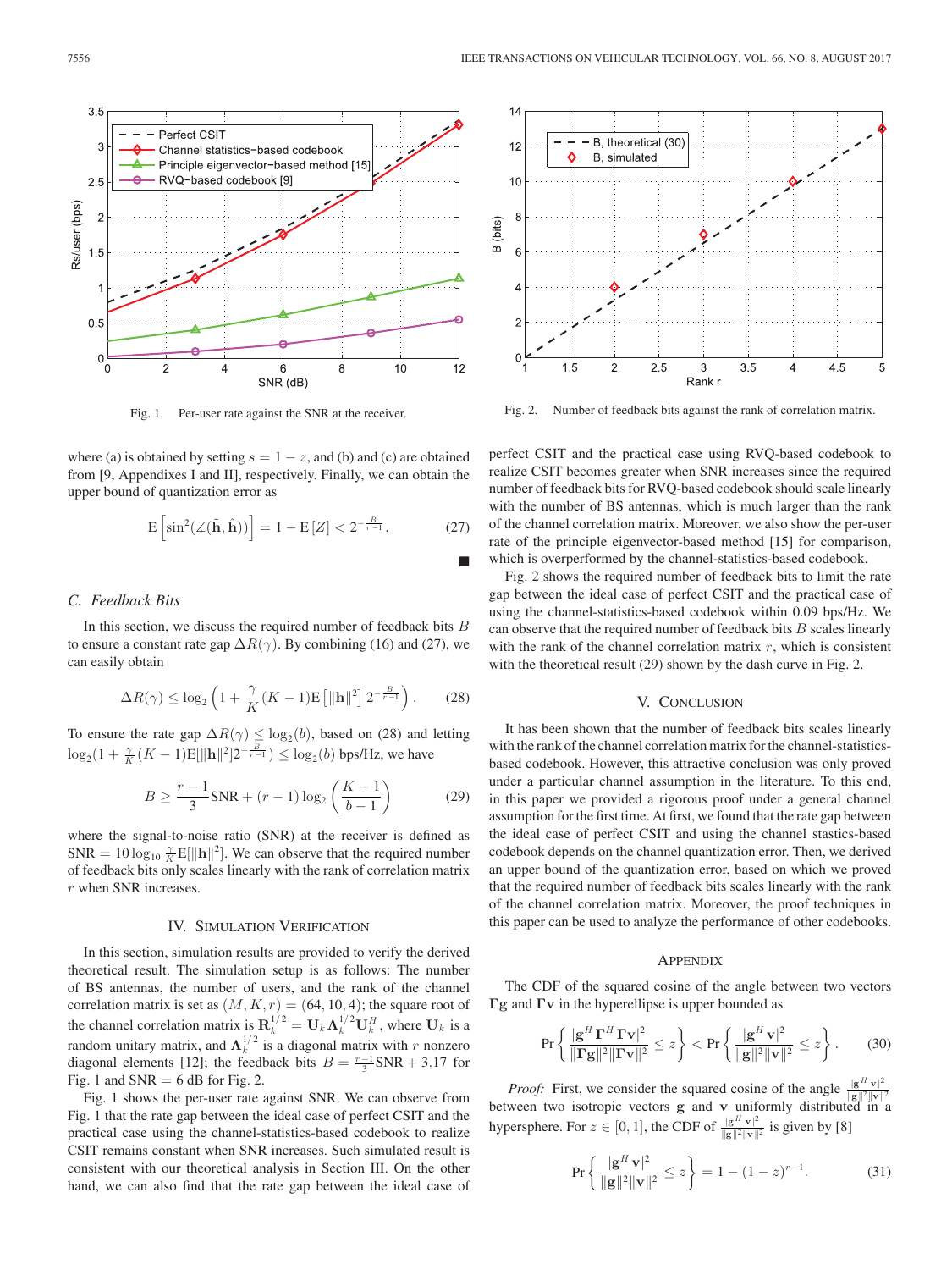

Fig. 1. Per-user rate against the SNR at the receiver.

where (a) is obtained by setting  $s = 1 - z$ , and (b) and (c) are obtained from [9, Appendixes I and II], respectively. Finally, we can obtain the upper bound of quantization error as

$$
E\left[\sin^2(\measuredangle(\tilde{\mathbf{h}}, \hat{\mathbf{h}}))\right] = 1 - E\left[Z\right] < 2^{-\frac{B}{r-1}}.\tag{27}
$$

#### *C. Feedback Bits*

In this section, we discuss the required number of feedback bits  $B$ to ensure a constant rate gap  $\Delta R(\gamma)$ . By combining (16) and (27), we can easily obtain

$$
\Delta R(\gamma) \le \log_2 \left( 1 + \frac{\gamma}{K} (K - 1) \mathbb{E} \left[ ||\mathbf{h}||^2 \right] 2^{-\frac{B}{r - 1}} \right). \tag{28}
$$

To ensure the rate gap  $\Delta R(\gamma) \leq \log_2(b)$ , based on (28) and letting  $\log_2(1 + \frac{\gamma}{K}(K-1)\mathbb{E}[\|\mathbf{h}\|^2]2^{-\frac{B}{r-1}}) \leq \log_2(b)$  bps/Hz, we have

$$
B \ge \frac{r-1}{3} \text{SNR} + (r-1) \log_2 \left( \frac{K-1}{b-1} \right) \tag{29}
$$

where the signal-to-noise ratio (SNR) at the receiver is defined as SNR =  $10 \log_{10} \frac{\gamma}{K} E[\|\mathbf{h}\|^2]$ . We can observe that the required number<br>of feedback hits only scales linearly with the rank of correlation matrix of feedback bits only scales linearly with the rank of correlation matrix r when SNR increases.

### IV. SIMULATION VERIFICATION

In this section, simulation results are provided to verify the derived theoretical result. The simulation setup is as follows: The number of BS antennas, the number of users, and the rank of the channel correlation matrix is set as  $(M, K, r) = (64, 10, 4)$ ; the square root of the channel correlation matrix is  $\mathbf{R}_k^{1/2} = \mathbf{U}_k \mathbf{\Lambda}_k^{1/2} \mathbf{U}_k^H$ , where  $\mathbf{U}_k$  is a random unitary matrix, and  $\Lambda_k^{1/2}$  is a diagonal matrix with r nonzero<br>diagonal elements [12]: the feedback bits  $B = r^{-1}$ SNB + 3.17 for diagonal elements [12]; the feedback bits  $B = \frac{r-1}{3} SNR + 3.17$  for Fig. 2 Fig. 1 and  $SNR = 6$  dB for Fig. 2.

Fig. 1 shows the per-user rate against SNR. We can observe from Fig. 1 that the rate gap between the ideal case of perfect CSIT and the practical case using the channel-statistics-based codebook to realize CSIT remains constant when SNR increases. Such simulated result is consistent with our theoretical analysis in Section III. On the other hand, we can also find that the rate gap between the ideal case of



Fig. 2. Number of feedback bits against the rank of correlation matrix.

perfect CSIT and the practical case using RVQ-based codebook to realize CSIT becomes greater when SNR increases since the required number of feedback bits for RVQ-based codebook should scale linearly with the number of BS antennas, which is much larger than the rank of the channel correlation matrix. Moreover, we also show the per-user rate of the principle eigenvector-based method [15] for comparison, which is overperformed by the channel-statistics-based codebook.

Fig. 2 shows the required number of feedback bits to limit the rate gap between the ideal case of perfect CSIT and the practical case of using the channel-statistics-based codebook within 0.09 bps/Hz. We can observe that the required number of feedback bits  $B$  scales linearly with the rank of the channel correlation matrix  $r$ , which is consistent with the theoretical result (29) shown by the dash curve in Fig. 2.

### V. CONCLUSION

It has been shown that the number of feedback bits scales linearly with the rank of the channel correlation matrix for the channel-statisticsbased codebook. However, this attractive conclusion was only proved under a particular channel assumption in the literature. To this end, in this paper we provided a rigorous proof under a general channel assumption for the first time. At first, we found that the rate gap between the ideal case of perfect CSIT and using the channel stastics-based codebook depends on the channel quantization error. Then, we derived an upper bound of the quantization error, based on which we proved that the required number of feedback bits scales linearly with the rank of the channel correlation matrix. Moreover, the proof techniques in this paper can be used to analyze the performance of other codebooks.

# APPENDIX

The CDF of the squared cosine of the angle between two vectors **Γg** and **Γv** in the hyperellipse is upper bounded as

$$
\Pr\left\{\frac{|\mathbf{g}^H \mathbf{\Gamma}^H \mathbf{\Gamma} \mathbf{v}|^2}{\|\mathbf{\Gamma} \mathbf{g}\|^2 \|\mathbf{\Gamma} \mathbf{v}\|^2} \leq z\right\} < \Pr\left\{\frac{|\mathbf{g}^H \mathbf{v}|^2}{\|\mathbf{g}\|^2 \|\mathbf{v}\|^2} \leq z\right\}.\tag{30}
$$

*Proof:* First, we consider the squared cosine of the angle  $\frac{|g^H v|^2}{||g|| ||v||^2}$ **between two isotropic vectors <b>g** and **v** uniformly distributed in a hypersphere. For  $z \in [0, 1]$ , the CDF of  $\frac{|g^H v|^2}{||g||^2 ||v||^2}$  is given by [8]

$$
\Pr\left\{\frac{|\mathbf{g}^H \mathbf{v}|^2}{\|\mathbf{g}\|^2 \|\mathbf{v}\|^2} \le z\right\} = 1 - (1 - z)^{r - 1}.\tag{31}
$$